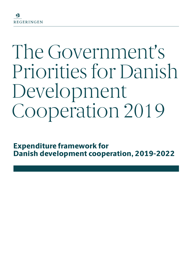# The Government's Priorities for Danish Development Cooperation 2019

**Expenditure framework for Danish development cooperation, 2019-2022**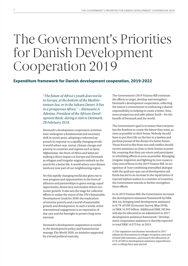# The Government's Priorities for Danish Development Cooperation 2019

# **Expenditure framework for Danish development cooperation, 2019-2022**

*"The future of Africa's youth does not lie in Europe, at the bottom of the Mediterranean Sea, or in the Sahara Desert. It lies in a prosperous Africa." – Akinwumi A. Adesina, President of the African Development Bank, during a visit to Denmark, 28 February 2018.* 

Denmark's development cooperation activities have undergone a fundamental and necessary shift in recent years, adopting a reformed approach in response to a rapidly changing world. A world where war, unrest, climate change and poverty in countries and regions such as Syria, Afghanistan, the Horn of Africa and Sahel are making a direct impact on Europe and Denmark as refugees and irregular migrants embark on the search for a better life. A world where once distant lands are now part of our neighbouring region.

Yet this rapidly changing world also gives rise to new progress and opportunities in the form of alliances and partnerships in green energy, equal opportunity, democracy and market-driven economic growth. It also sets the stage for collective efforts to realise the vision of the UN's Sustainable Development Goals for 2030: the eradication of extreme poverty and a world of sustainable growth and development. In such a world, active international engagement is an expression of due care and the foresight to protect long-term interests.

Denmark's development cooperation is rooted in the development policy and humanitarian strategy, The World 2030, an initiative supported by a broad political majority.

The Government's 2019 Finance Bill continues the efforts to target, develop and strengthen Denmark's development cooperation, reflecting the nation's commitment to embracing a shared responsibility in helping to create a better, freer, more prosperous and safer planet Earth – for the benefit of Denmark and the world.

The Government's goal is to ensure that everyone has the freedom to create the future they want, as close as possible to their home. Nobody should have to put their life on the line in a lawless and perilous pursuit of the dream of a better future. Those forced to flee from war and conflict should receive assistance as close to their homes as possible, ensuring that they can return and participate in rebuilding efforts as soon as possible. Managing irregular migration and fighting its root causes is a key area of focus in the 2019 Finance Bill. In recognition of how combining intensified dialogue with the quid-pro-quo use of development aid funds has led to an increase in the repatriation of rejected asylum seekers to a number of countries, the Government intends to further strengthen these efforts.

In its 2019 Finance Bill, the Government increases the development assistance framework by DKK 464.1m, bringing total development assistance to 0.7% of GNI (Economic Survey, May 2018), or DKK 16.392 billion. Additional DKK 182.8m will also be allocated as an adjustment to 2017 development assistance framework.<sup>1</sup> Development cooperation assistance is thereby expected to total DKK 16.575 bn. in 2019.

1) The regulation mechanism introduced in 2017 adjusts for fluctuations in refugee reception costs and revised GNI estimates, and ensures the allocation of 0.7% of GNI to development assistance expenditures over a rolling three-year period.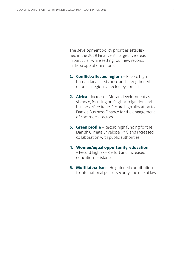The development policy priorities established in the 2019 Finance Bill target five areas in particular, while setting four new records in the scope of our efforts:

- **1. Conflict-affected regions**  Record high humanitarian assistance and strengthened efforts in regions affected by conflict.
- **2. Africa** Increased African development assistance, focusing on fragility, migration and business/free trade. Record high allocation to Danida Business Finance for the engagement of commercial actors.
- **3. Green profile** Record high funding for the Danish Climate Envelope, P4G and increased collaboration with public authorities.
- **4. Women/equal opportunity, education** – Record high SRHR effort and increased education assistance.
- **5. Multilateralism**  Heightened contribution to international peace, security and rule of law.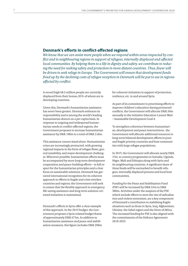# **Denmark's efforts in conflict-affected regions**

*We know that we can assist more people when we respond within areas impacted by conflict and in neighbouring regions in support of refugees, internally displaced and affected local communities. By helping them to a life in dignity and safety, we contribute to reducing the need for seeking safety and protection in more distant countries. Thus, fewer will be driven to seek refuge in Europe. The Government will ensure that development funds freed up by the declining costs of refugee reception in Denmark will be put to use in regions affected by conflict.*

A record high 68.5 million people are currently displaced from their homes, 85% of whom are in developing countries.

Given this, Denmark's humanitarian assistance has never been greater. Denmark embraces its responsibility and is among the world's leading humanitarian donors on a per capita basis. In response to ongoing and widespread humanitarian needs in conflict-affected regions, the Government proposes to increase humanitarian assistance by DKK 100m to a total of DKK 2.6bn.

This assistance cannot stand alone. Humanitarian crises are increasingly protracted, with growing regional impacts in the form of refugee flows, general instability, and major development challenges. Wherever possible, humanitarian efforts must be accompanied by more long-term development cooperation and peace-building efforts – in full respect for the humanitarian principles and a clear focus on sustainable solutions. Denmark has garnered international recognition for its coherent approach to efforts in fragile and crisis-stricken countries and regions; the Government will seek to ensure that the flexible approach to emergency life-saving assistance and long-term solution-oriented initiatives is maintained.

Denmark's efforts in Syria offer a clear example of this approach. In the 2019 budget, the Government proposes a Syria-related budget-frame of approximately DKK 675m. In addition to humanitarian assistance and peace and stabilisation measures, this figure includes DKK 200m for coherent initiatives in support of protection, resilience, etc. in and around Syria.

As part of its commitment to prioritising efforts to improve children's education during protracted conflicts, the Government will allocate DKK 50m annually to the initiative Education Cannot Wait – Sustainable Development Goal 4.

To strengthen coherence between humanitarian, development and peace interventions , the Government will allocate additional resources to long-term bilateral development efforts in poor and fragile priority countries and host communities with large refugee populations.

In 2019, the Government will allocate nearly DKK 2 bn. to country programmes in Somalia, Uganda, Niger, Mali and Ethiopia along with Syria and its neighbouring countries. A significant share of these funds will be earmarked to benefit refugees, internally displaced persons and local host communities.

Funding for the Peace and Stabilisation Fund (PSF) will be increased by DKK 55m to DKK 380m. Activities under the auspices of the PSF, which include efforts to stem the rise of radicalisation and violent extremism, are a key component of Denmark's contribution to stabilising fragile situations such as those in Syria, Iraq, Afghanistan, Ukraine, the Sahel region and the Horn of Africa. The increased funding for PSF is also aligned with the commitments of the Defence Agreement 2018-2023.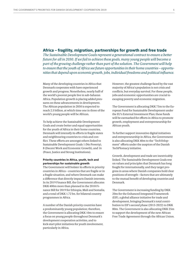# **Africa – fragility, migration, partnerships for growth and free trade**

*The Sustainable Development Goals represent a generational contract to ensure a better future for all in 2030. If we fail to achieve these goals, many young people will become a part of the growing challenge rather than part of the solution. The Government will help to ensure that the youth of Africa see future opportunities in their home countries – opportunities that depend upon economic growth, jobs, individual freedoms and political influence.*

Many of the developing countries in Africa that Denmark cooperates with have experienced growth and progress. Nonetheless, nearly half of the world's poorest people live in sub-Saharan Africa. Population growth is placing added pressures on these advancements in development. The African population in 2050 is expected to reach 2.5 billion, at which time one in three of the world's young people will be African.

To help achieve the Sustainable Development Goals and create better and equal opportunities for the youth of Africa in their home countries, Denmark will intensify its efforts in fragile states and neighbouring countries to crisis and conflict. These efforts are amongst others linked to Sustainable Development Goals 1 (No Poverty), 8 (Decent Work and Economic Growth), and 16 (Peace, Justice and Strong Institutions).

# **Priority countries in Africa, youth, tech and partnerships for sustainable growth**

The Government will bolster its efforts in priority countries in Africa – countries that are fragile or in a fragile situation, and where Denmark can make a difference that directly impacts Danish interests. In its 2019 Finance Bill, the Government allocates DKK 400m more than planned in the 2018 Finance Bill for 2019 for Ethiopia, Mali and Somalia, and a total of DKK 1.72 bn. for bilateral country programmes in Africa.

A number of the Danish priority countries have a predominantly young population; therefore, the Government is allocating DKK 10m to ensure a focus on young people throughout Denmark's development cooperation activities, and to kick-start pilot initiatives for youth involvement, particularly in Africa.

However, the greatest challenge faced by the vast majority of Africa's population is not crisis and conflicts, but everyday survival. For these people, jobs and economic opportunities are crucial to escaping poverty and economic migration.

The Government is allocating DKK 75m to the European Fund for Sustainable Development under the EU's External Investment Plan; these funds will be earmarked for efforts in Africa to promote growth, employment and entrepreneurship for African youth.

To further support innovative digital initiatives and entrepreneurship in Africa, the Government is also allocating DKK 40m to the "TechVelopment" efforts under the auspices of the Danish TechPlomacy initiative.

Growth, development and trade are inextricably linked. The Sustainable Development Goals rest on values and principles that Denmark has long fought for internationally, and they target progress in areas where Danish companies hold clear positions of strength – factors that are ultimately to the mutual benefit of developing countries and Denmark.

The Government is increasing funding by DKK 20m for the Enhanced Integrated Framework (EIF), a global alliance initiative for trade and development, bringing Denmark's total contribution to EIF's second phase (2015-2022) to DKK 80m. The Government is also allocating DKK 25m to support the development of the new African Free Trade Agreement through the African Union.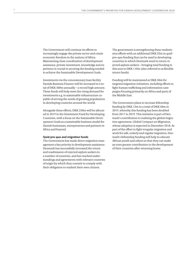The Government will continue its efforts to increasingly engage the private sector and create economic freedom in the nations of Africa. Maintaining close coordination of development assistance, private investment, knowledge and experience is crucial to securing the funding needed to achieve the Sustainable Development Goals.

Investments via the concessionary loan facility Danida Business Finance will be increased to a total of DKK 500m annually – a record high amount. These funds will help meet the rising demand for investments e.g. in sustainable infrastructure capable of serving the needs of growing populations in developing countries around the world.

Alongside these efforts, DKK 250m will be allocated in 2019 to the Investment Fund for Developing Countries, with a focus on the Sustainable Development Goals as a sustainable business model for Danish businesses, entrepreneurs and partners in Africa and beyond.

#### **Quid-pro-quo and migration funds**

The Government has made direct migration management a key priority in development assistance. Denmark has successfully increased the return and readmission of rejected asylum seekers to a number of countries, and has reached understandings and agreements with relevant countries of origin by which they commit to comply with their obligation to readmit their own citizens.

The government is strengthening these readmission efforts with an additional DKK 35m in quidpro-quo funding that can be used in developing countries to which Denmark need to return rejected asylum seekers – bringing total funding in this area to DKK 110m (also referred to as flexible return funds).

Funding will be maintained at DKK 50m for targeted migration initiatives, including efforts to fight human trafficking and information campaigns focusing primarily on Africa and parts of the Middle East.

The Government plans to increase fellowship funding by DKK 15m to a total of DKK 60m in 2019, whereby this funding has been doubled from 2017 to 2019. This initiative is part of Denmark's contribution to realising the global migration agreement, Global Compact on Migration, whose adoption is expected in December 2018. As part of the effort to fight irregular migration and work for safe, orderly and regular migration, Denmark's fellowship funding will help to educate African youth and others so that they can make an even greater contribution to the development of their countries after returning home.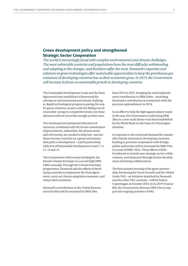# **Green development policy and strengthened Strategic Sector Cooperation**

*The world is increasingly faced with complex environmental and climate challenges. The most vulnerable countries and populations have the most difficulty withstanding and adapting to the changes, and therefore suffer the most. Denmark's expertise and solutions in green technologies offer sustainable opportunities to keep the greenhouse gas emissions of developing countries low as their economies grow. In 2019, the Government will increase its focus on sustainable growth in developing countries.*

The Sustainable Development Goals and the Paris Agreement have established a framework for solving our environmental and climate challenges. Rapid technological progress is paving the way for green solutions, as seen with the falling cost of renewable energy to competitive levels, but these advances will not occur fast enough on their own.

The continued and substantial allocation of resources, combined with the broad commitment of governments, authorities, the private sector and civil society, are needed to help low- and medium-income countries on a green and sustainable path to development – a path particularly reflective of Sustainable Development Goals 7, 11, 12, 13 and 14.

The Government will increase funding for the Danish Climate Envelope to a record high DKK 540m annually. Through the Climate Envelope programmes, Denmark aids the efforts of developing countries to implement the Paris Agreement, carry out climate adaptation measures, and reduce their emissions.

Denmark's contribution to the Global Environment Facility will be increased by DKK 50m

from 2019 to 2021, bringing the total replenishment contribution to DKK 450m – exceeding Denmark's contribution in connection with the previous replenishment in 2014.

In an effort to help the fight against plastic waste in the seas, the Government is allocating DKK 20m to a new multi donor trust fund established by the World Bank on the basis of a Norwegian initiative.

In response to the continued demand for sustainable Danish solutions in developing countries, funding to promote cooperation with foreign public authorities will be increased by DKK 25m to a total of DKK 145m. These efforts will be broadened to include new strategic sector collaborations, and deepened through further development of existing collaborations.

The first summit meeting of the green partnership, Partnering for Green Growth and the Global Goals, P4G – an initiative launched by Denmark and the other P4G countries – will be held in Copenhagen in October 2018. In its 2019 Finance Bill, the Government allocates DKK 55m to support the ongoing activities of P4G.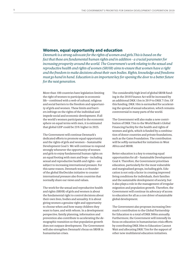# **Women, equal opportunity and education**

*Denmark is a strong advocate for the rights of women and girls.This is based on the fact that these are fundamental human rights and in addition - a crucial parameter for increasing prosperity around the world. The Government's work relating to the sexual and reproductive health and rights of women (SRHR) aims to ensure that women have a right and the freedom to make decisions about their own bodies. Rights, knowledge and freedoms must go hand in hand. Education is an important key for opening the door to a better future for the next generation.*

More than 100 countries have legislation limiting the right of women to participate in economic life – combined with a web of cultural, religious and social barriers to the freedom and opportunity of girls and women. These limits and barriers infringe on the rights of the individual and impede social and economic development. If all the world's women participated in the economic sphere on equal terms with men, it is estimated that global GDP could be 25% higher in 2025.

The Government will continue Denmark's dedicated efforts to promote equal opportunity and the rights of girls and women – Sustainable Development Goal 5. We will continue to respond strongly whenever the opportunity of women and girls to enjoy fundamental human rights on an equal footing with men and boys – including sexual and reproductive health and rights – are subject to increasing international pressure. For this same reason, Denmark was a co-founder of the global SheDecides initiative to counter international pressure also from countries that normally share our views and values.

The work for the sexual and reproductive health and rights (SRHR) of girls and women is about the fundamental right to control decisions about their own lives, bodies and sexuality. It is about giving women a genuine right and opportunity to choose when and how many children they want to have, and with whom. In a development perspective, family planning, information and prevention also contribute to accelerating the demographic transition so that population growth does not outpace development. The Government will also strengthen Denmark's focus on SRHR in humanitarian crises.

The considerably high level of global SRHR funding in the 2018 Finance Act will be increased by an additional DKK 15m in 2019 to DKK 715m. Of this funding, DKK 10m is earmarked for accelerating the spread of sexual education, which remains controversial in many parts of the world.

The Government will also make a new contribution of DKK 75m to the World Bank's Global Financing Facility for the health and rights of women and girls, which is funded by a combination of donor countries and private foundations, such as the Gates Foundation. The contribution will be softly earmarked for initiatives in West Africa and SRHR.

Better education is a key to ensuring equal opportunities for all – Sustainable Development Goal 4. Therefore, the Government prioritises education, particularly for the most vulnerable and marginalised groups, including girls. Education is not only a factor in creating improved living conditions for individuals, their families and the sustainable development of society, but it also plays a role in the management of irregular migration and population growth. Therefore, the Government will continue its advocacy of access to education for all as a core driver of sustainable global development.

The Government also proposes increasing Denmark's contribution to the Global Partnership for Education to a total of DKK 300m annually. Furthermore, the Government will intensify its focus on education in humanitarian crisis efforts by contributing DKK 50m to Education Cannot Wait and allocating DKK 75m for the support of other new multilateral education initiatives.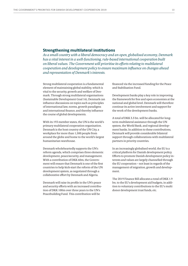# **Strengthening multilateral institutions**

*As a small country with a liberal democracy and an open, globalised economy, Denmark has a vital interest in a well-functioning, rule-based international cooperation built on liberal values. The Government will prioritise its efforts relating to multilateral cooperation and development policy to ensure maximum influence on changes ahead and representation of Denmark's interests.*

Strong multilateral cooperation is a fundamental element of maintaining global stability, which is vital to the security, growth and welfare of Denmark. Through strong multilateral organisations (Sustainable Development Goal 16), Denmark can influence discussions on topics such as principles of international law, norms, growth paradigms and international finance, and thereby influence the course of global developments.

With its 193 member states, the UN is the world's primary multilateral cooperation organisation. Denmark is the host country of the UN City, a workplace for more than 1,500 people from around the globe and home to the world's largest humanitarian warehouse.

Denmark wholeheartedly supports the UN's reform agenda, which comprises three elements: development, peace/security, and management. With a contribution of DKK 60m, the Government will ensure that Denmark is one of the first countries to help kick-start the reform of the UN development system, as negotiated through a collaborative effort by Denmark and Algeria.

Denmark will raise its profile in the UN's peace and security efforts with an increased contribution of DKK 100m over three years to the UN's Peacebuilding Fund. This contribution will be

financed via the increased funding for the Peace and Stabilisation Fund.

Development banks play a key role in improving the framework for free and open economies at the national and global level. Denmark will therefore continue its active involvement and support for the work of the development banks.

A total of DKK 3.3 bn. will be allocated for longterm multilateral assistance through the UN system, the World Bank, and regional development banks. In addition to these contributions, Denmark will provide considerable bilateral support through collaborations with multilateral partners in priority countries.

In an increasingly globalised world, the EU is a critical platform for Danish development policy. Efforts to promote Danish development policy interests and values are largely channelled through the EU cooperation – not least in regards of the management of migration, growth and development.

The 2019 Finance Bill allocates a total of DKK 1.9 bn. to the EU's development aid budgets, in addition to voluntary contributions to the EU's multi donor development trust funds, etc.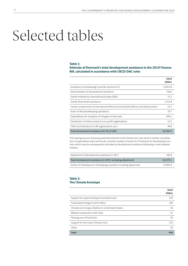# Selected tables

#### **Table 1:**

## **Estimate of Denmark's total development assistance in the 2019 Finance Bill, calculated in accordance with OECD/DAC rules**

|                                                                                     | 2019<br><b>DKKm</b> |
|-------------------------------------------------------------------------------------|---------------------|
| Assistance to Developing Countries (section 6.3)                                    | 13,812.8            |
| Administration of development assistance                                            | 726.6               |
| Danish Institute for International Studies (DIIS)                                   | 21.2                |
| Jointly financed EU assistance                                                      | 1,215.8             |
| Certain components of international efforts by the Danish Defence and Danish police | 23.1                |
| Share of UN peacekeeping operations                                                 | 33.7                |
| Expenditures for reception of refugees in Denmark                                   | 494.1               |
| Distribution of lottery funds to non-profit organisations                           | 15.2                |
| Other (contributions to UN organisations, etc.)                                     | 49.8                |
| Total development assistance (0.7% of GNI)                                          | 16.392.3            |

The hearing process and proposed amendments to the Finance Act may result in further consolidation of expenditure areas and funds currently outside of Section 6.3 Assistance to Developing Countries, which may be subsequently calculated as development assistance following a more detailed analysis.

| Adjustment of development assistance in 2017                         | 1828     |
|----------------------------------------------------------------------|----------|
| Total development assistance in 2019, including adjustment           | 16.575.1 |
| Section 6.3 Assistance to developing countries, including adjustment | 13.995.6 |

## **Table 2: The Climate Envelope**

|                                                       | 2019<br><b>DKKm</b> |
|-------------------------------------------------------|---------------------|
| Support for Least Developed Countries Fund            | 150                 |
| Sustainable Energy Fund for Africa                    | 100                 |
| Climate and energy initiatives in small island states | 50                  |
| Bilateral cooperation with India                      | 55                  |
| Phasing out of fossil fuels                           | 30                  |
| Support for the Green Climate Fund                    | 135                 |
| Other                                                 | 20                  |
| <b>Total</b>                                          | 540                 |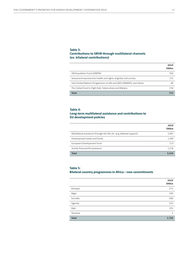## **Table 3: Contributions to SRHR through multilateral channels (ex. bilateral contributions)**

|                                                                     | 2019<br><b>DKKm</b> |
|---------------------------------------------------------------------|---------------------|
| UN Population Fund (UNFPA)                                          | 350                 |
| Sexual and reproductive health and rights of global civil society   | 175                 |
| Joint United Nations Programme on HIV and AIDS (UNAIDS), and others | 40                  |
| The Global Fund to Fight Aids, Tuberculosis and Malaria             | 150                 |
| <b>Total</b>                                                        | 715                 |

# **Table 4:**

# **Long-term multilateral assistance and contributions to EU development policies**

|                                                                       | 2019<br><b>DKKm</b> |
|-----------------------------------------------------------------------|---------------------|
| Multilateral assistance through the UN, etc. (e.g. bilateral support) | 1.997               |
| Development banks and funds                                           | 1.290               |
| European Development Fund                                             | 713                 |
| Jointly financed EU assistance                                        | 1.216               |
| <b>Total</b>                                                          | 5.216               |

# **Table 5:**

# **Bilateral country programmes in Africa – new commitments**

|              | 2019<br><b>DKKm</b> |
|--------------|---------------------|
| Ethiopia     | 275                 |
| Niger        | 100                 |
| Somalia      | 580                 |
| Uganda       | 525                 |
| Mali         | 235                 |
| Tanzania     | 5                   |
| <b>Total</b> | 1,720               |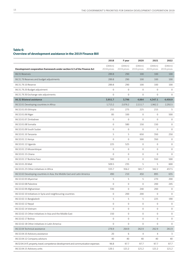# **Table 6: Overview of development assistance in the 2019 Finance Bill**

|                                                                                     | 2018                  | F year                | 2020                  | 2021                  | 2022                  |
|-------------------------------------------------------------------------------------|-----------------------|-----------------------|-----------------------|-----------------------|-----------------------|
| Development cooperation framework under section 6.3 of the Finance Act              | (DKKm)<br>2018-prices | (DKKm)<br>2019-prices | (DKKm)<br>2019-prices | (DKKm)<br>2019-prices | (DKKm)<br>2019-prices |
| 06.31 Reserves                                                                      | 289.8                 | 290                   | 100                   | 100                   | 100                   |
| 06.31.79 Reserves and budget adjustments                                            | 289.8                 | 290                   | 100                   | 100                   | 100                   |
| 06.31.79.10 Reserve                                                                 | 289.8                 | 290                   | 100                   | 100                   | 100                   |
| 06.31.79.20 Budget adjustment                                                       | $\mathbf 0$           | $\mathbf{0}$          | $\mathbf 0$           | $\mathbf{0}$          | $\mathbf{0}$          |
| 06.31.79.30 Exchange rate adjustments                                               | $\mathbf 0$           | $\mathbf 0$           | $\overline{0}$        | $\overline{0}$        | $\mathbf{0}$          |
| 06.32 Bilateral assistance                                                          | 3,951.7               | 3,796                 | 4,064                 | 4,347.1               | 4,450.9               |
| 06.32.01 Developing countries in Africa                                             | 1,713.2               | 2,076.2               | 2,111.7               | 1,962.2               | 2,292.5               |
| 06.32.01.05 Ethiopia                                                                | 255                   | 275                   | 225                   | 215                   | 5                     |
| 06.32.01.06 Niger                                                                   | 85                    | 100                   | $\mathbf{0}$          | $\mathbf{0}$          | 500                   |
| 06.32.01.07 Zimbabwe                                                                | $\mathbf 0$           | $\mathbf 0$           | $\mathbf 0$           | $\mathbf{0}$          | $\overline{0}$        |
| 06.32.01.08 Somalia                                                                 | $\mathbf{0}$          | 580                   | 150                   | 150                   | $\mathbf{0}$          |
| 06.32.01.09 South Sudan                                                             | $\mathbf 0$           | $\mathbf{0}$          | $\mathbf{0}$          | $\mathbf{0}$          | $\mathbf{0}$          |
| 06.32.01.10 Tanzania                                                                | 5                     | 5                     | 650                   | 350                   | 250                   |
| 06.32.01.11 Kenya                                                                   | $\mathbf 0$           | $\mathbf 0$           | 500                   | 350                   | $\mathbf 0$           |
| 06.32.01.12 Uganda                                                                  | 225                   | 525                   | 0                     | $\mathbf{0}$          | $\mathbf{0}$          |
| 06.32.01.13 Mozambique                                                              | $\mathbf{0}$          | $\mathbf{0}$          | $\mathbf{0}$          | $\mathbf{0}$          | $\mathbf{0}$          |
| 06.32.01.15 Ghana                                                                   | $\mathbf{0}$          | $\mathbf{0}$          | $\mathbf 0$           | $\mathbf{0}$          | $\mathbf{0}$          |
| 06.32.01.17 Burkina Faso                                                            | 300                   | $\mathbf 0$           | $\mathbf 0$           | 550                   | 500                   |
| 06.32.01.20 Mali                                                                    | 509.5                 | 235                   | 5                     | 5                     | 600                   |
| 06.32.01.23 Other initiatives in Africa                                             | 333.7                 | 356.2                 | 581.7                 | 342.2                 | 437.5                 |
| 06.32.02 Developing countries in Asia, the Middle East and Latin America            | 490                   | 210                   | 450                   | 895                   | 635                   |
| 06.32.02.05 Myanmar                                                                 | 5                     | 5                     | 5                     | 270                   | 200                   |
| 06.32.02.08 Palestine                                                               | $\mathbf 0$           | $\mathbf 0$           | 0                     | 200                   | 245                   |
| 06.32.02.09 Afghanistan                                                             | 330                   | $\mathbf 0$           | 240                   | 200                   | $\mathbf{0}$          |
| 06.32.02.10 Initiatives in Syria and neighbouring countries                         | $\mathbf 0$           | 200                   | 200                   | $\mathbf{0}$          | $\mathbf{0}$          |
| 06.32.02.11 Bangladesh                                                              | 5                     | 5                     | 5                     | 225                   | 190                   |
| 06.32.02.12 Nepal                                                                   | $\mathbf 0$           | $\mathbf 0$           | $\mathbf 0$           | 0                     | $\mathbf 0$           |
| 06.32.02.14 Vietnam                                                                 | $\mathbf 0$           | $\boldsymbol{0}$      | $\mathbf 0$           | $\mathbf 0$           | $\mathbf 0$           |
| 06.32.02.15 Other initiatives in Asia and the Middle East                           | 150                   | $\mathbf 0$           | $\mathsf{O}\xspace$   | $\mathbf 0$           | $\mathbf 0$           |
| 06.32.02.17 Bolivia                                                                 | $\mathbf 0$           | $\mathbf 0$           | $\mathbf 0$           | $\mathbf 0$           | $\mathbf{0}$          |
| 06.32.02.18 Other initiatives in Latin America                                      | $\mathbf 0$           | $\mathbf 0$           | $\boldsymbol{0}$      | $\mathbf 0$           | $\overline{0}$        |
| 06.32.04 Technical assistance                                                       | 276.9                 | 264.9                 | 262.9                 | 262.9                 | 261.9                 |
| 06.32.04.10 Advisory assistance                                                     | 20                    | 6                     | $\overline{4}$        | $\overline{4}$        | 3                     |
| 06.32.04.12 Company advisors                                                        | 40                    | 40                    | 40                    | 40                    | 40                    |
| 06.32.04.14 IT, property, travel, competence development and communication expenses | 96.8                  | 97.7                  | 97.7                  | 97.7                  | 97.7                  |
| 06.32.04.15 Advisory units                                                          | 120.1                 | 121.2                 | 121.2                 | 121.2                 | 121.2                 |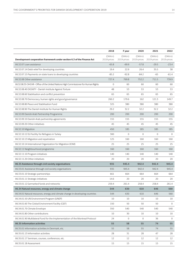|                                                                                     | 2018                  | F year                | 2020                  | 2021                  | 2022                  |
|-------------------------------------------------------------------------------------|-----------------------|-----------------------|-----------------------|-----------------------|-----------------------|
| Development cooperation framework under section 6.3 of the Finance Act              | (DKKm)<br>2018-prices | (DKKm)<br>2019-prices | (DKKm)<br>2019-prices | (DKKm)<br>2019-prices | (DKKm)<br>2019-prices |
| 06.32.07 Loan assistance                                                            | $-65.8$               | $-69.9$               | $-57.8$               | $-29.5$               | $-23.4$               |
| 06.32.07.14 Debt relief for developing countries                                    | 19.4                  | 22.9                  | 26.4                  | 35.5                  | 38                    |
| 06.32.07.15 Payments on state loans to developing countries                         | $-85.2$               | $-92.8$               | $-84.2$               | -65                   | $-61.4$               |
| 06.32.08 Other assistance                                                           | 727.4                 | 769.8                 | 752.2                 | 711.5                 | 739.9                 |
| 06.32.08.35 OHCHR - Office of the United Nations High Commissioner for Human Rights | $\mathbf 0$           | 60                    | 60                    | 60                    | 60                    |
| 06.32.08.40 DIGNITY - Danish Institute Against Torture                              | 48                    | 53                    | 53                    | 53                    | 53                    |
| 06.32.08.60 Stabilisation and conflict prevention                                   | 65                    | 65                    | 65                    | 65                    | 65                    |
| 06.32.08.70 Democracy, human rights and good governance                             | 260.2                 | 179.6                 | 162                   | 121.3                 | 149.7                 |
| 06.32.08.80 Peace and Stabilisation Fund                                            | 325                   | 380                   | 380                   | 380                   | 380                   |
| 06.32.08.90 The Danish Institute for Human Rights                                   | 29.2                  | 32.2                  | 32.2                  | 32.2                  | 32.2                  |
| 06.32.09 Danish-Arab Partnership Programme                                          | 200                   | 200                   | 200                   | 200                   | 200                   |
| 06.32.09.10 Danish-Arab partnership agreements                                      | 155                   | 155                   | 155                   | 155                   | 155                   |
| 06.32.09.20 Other initiatives                                                       | 45                    | 45                    | 45                    | 45                    | 45                    |
| 06.32.10 Migration                                                                  | 450                   | 185                   | 185                   | 185                   | 185                   |
| 06.32.10.12 EU Facility for Refugees in Turkey                                      | 300                   | $\mathbf{0}$          | $\mathbf 0$           | $\mathbf{0}$          | $\mathbf{0}$          |
| 06.32.10.13 Migration and repatriation                                              | 125                   | 160                   | 160                   | 160                   | 160                   |
| 06.32.10.14 International Organization for Migration (IOM)                          | 25                    | 25                    | 25                    | 25                    | 25                    |
| 06.32.11 Neighbourhood programme                                                    | 160                   | 160                   | 160                   | 160                   | 160                   |
| 06.32.11.10 Program initiatives                                                     | 140                   | 140                   | 140                   | 140                   | 140                   |
| 06.32.11.20 Other initiatives                                                       | 20                    | 20                    | 20                    | 20                    | 20                    |
| 06.33 Assistance through civil society organisations                                | 935                   | 945.4                 | 942.4                 | 942.4                 | 945.4                 |
| 06.33.01 Assistance through civil society organisations                             | 935                   | 945.4                 | 942.4                 | 942.4                 | 945.4                 |
| 06.33.01.10 Strategic partnerships                                                  | 661                   | 664                   | 664                   | 664                   | 664                   |
| 06.33.01.11 Strategic initiatives                                                   | 14.6                  | 20                    | 20                    | 20                    | 20                    |
| 06.33.01.12 Earmarked funds and networks                                            | 259.4                 | 261.4                 | 258.4                 | 258.4                 | 261.4                 |
| 06.34 Natural resources, energy and climate change                                  | 544                   | 630                   | 610                   | 646                   | 560                   |
| 06.34.01 Natural resources, energy and climate change in developing countries       | 544                   | 630                   | 610                   | 646                   | 560                   |
| 06.34.01.50 UN Environment Program (UNEP)                                           | 10                    | 10                    | 10                    | 10                    | 10                    |
| 06.34.01.60 The Global Environment Facility (GEF)                                   | 150                   | 50                    | 50                    | 50                    | $\mathbf{0}$          |
| 06.34.01.70 Climate Envelope                                                        | 350                   | 540                   | 540                   | 540                   | 540                   |
| 06.34.01.80 Other contributions                                                     | 10                    | 30                    | 10                    | 10                    | 10                    |
| 06.34.01.90 Multilateral Fund for the Implementation of the Montreal Protocol       | 24                    | 0                     | 0                     | 36                    | $\mathbf{0}$          |
| 06.35 Information activities                                                        | 55                    | 58                    | 55                    | 74                    | 55                    |
| 06.35.01 Information activities in Denmark, etc.                                    | 55                    | 58                    | 55                    | 74                    | 55                    |
| 06.35.01.13 Information activities                                                  | 28                    | 31                    | 28                    | 47                    | 28                    |
| 06.35.01.17 Seminars, courses, conferences, etc.                                    | 12                    | 12                    | 12                    | 12                    | 12                    |
| 06.35.01.18 Assessment                                                              | 15                    | 15                    | 15                    | 15                    | 15                    |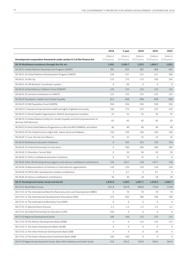|                                                                                                  | 2018                  | F year                | 2020                  | 2021                  | 2022                  |
|--------------------------------------------------------------------------------------------------|-----------------------|-----------------------|-----------------------|-----------------------|-----------------------|
| Development cooperation framework under section 6.3 of the Finance Act                           | (DKKm)<br>2018-prices | (DKKm)<br>2019-prices | (DKKm)<br>2019-prices | (DKKm)<br>2019-prices | (DKKm)<br>2019-prices |
| 06.36 Multilateral assistance through the UN, etc.                                               | 1,492                 | 1,996.7               | 1,913                 | 1,866.7               | 1,852                 |
| 06.36.01 United Nations Development Program (UNDP)                                               | 395                   | 452                   | 387                   | 406                   | 401                   |
| 06.36.01.10 United Nations Development Program (UNDP)                                            | 220                   | 217                   | 212                   | 211                   | 206                   |
| 06.36.01.14 UN City                                                                              | 175                   | 175                   | 175                   | 195                   | 195                   |
| 06.36.01.16 UN Resident Coordinator system                                                       | $\mathbf 0$           | 60                    | $\mathbf 0$           | $\mathbf{0}$          | $\mathbf{0}$          |
| 06.36.02 United Nations Children's Fund (UNICEF)                                                 | 125                   | 125                   | 125                   | 125                   | 125                   |
| 06.36.02.10 General contribution to UNICEF                                                       | 125                   | 125                   | 125                   | 125                   | 125                   |
| 06.36.03 Population, Health and Gender Equality                                                  | 813                   | 838                   | 838                   | 838                   | 838                   |
| 06.36.03.10 UN Population Fund (UNFPA)                                                           | 350                   | 350                   | 350                   | 350                   | 350                   |
| 06.36.03.11 Sexual and reproductive health and rights of global civil society                    | 160                   | 175                   | 225                   | 225                   | 225                   |
| 06.36.03.12 World Health Organization's (WHO) development activities                             | 25                    | 35                    | 35                    | 35                    | 35                    |
| 06.36.03.13 United Nations Entity for Gender Equality and the Empowerment of<br>Women (UN Women) | 63                    | 63                    | 63                    | 63                    | 63                    |
| 06.36.03.14 Joint United Nations Programme on HIV and AIDS (UNAIDS), and others                  | 40                    | 40                    | 40                    | 40                    | 40                    |
| 06.36.03.16 The Global Fund to Fight Aids, Tuberculosis and Malaria                              | 150                   | 150                   | 100                   | 100                   | 100                   |
| 06.36.03.17 Gavi, the Vaccine Alliance                                                           | 25                    | 25                    | 25                    | 25                    | 25                    |
| 06.36.04 Multilateral education initiatives                                                      | $\overline{0}$        | 425                   | 425                   | 350                   | 350                   |
| 06.36.04.10 Global Partnership for Education                                                     | $\mathbf 0$           | 300                   | 300                   | 300                   | 300                   |
| 06.36.04.11 Education Cannot Wait                                                                | $\mathbf{0}$          | 50                    | 50                    | 50                    | 50                    |
| 06.36.04.12 Other multilateral education initiatives                                             | $\mathbf 0$           | 75                    | 75                    | $\mathbf 0$           | $\Omega$              |
| 06.36.06 Other UN development programs and various multilateral contributions                    | 159                   | 156.7                 | 138                   | 147.7                 | 138                   |
| 06.36.06.16 Representation of interests in international organisations                           | 120                   | 120                   | 120                   | 120                   | 120                   |
| 06.36.06.23 OECD-DAC development-related contribution                                            | 3                     | 6.7                   | 0                     | 9.7                   | $\mathbf{0}$          |
| 06.36.06.24 Various multilateral contributions                                                   | 36                    | 30                    | 18                    | 18                    | 18                    |
| 06.37 Development banks, funds and the EU                                                        | 1,843.8               | 2,003                 | 1,997.7               | 1,978.3               | 1,982.7               |
| 06.37.01 World Bank Group                                                                        | 821.8                 | 633.8                 | 848.8                 | 774.8                 | 774.8                 |
| 06.37.01.10 The International Bank for Reconstruction and Development (IBRD)                     | 0                     | 70                    | 70                    | 70                    | 70                    |
| 06.37.01.11 The International Development Association (IDA)                                      | 573                   | 565                   | 780                   | 706                   | 706                   |
| 06.37.01.12 The International Monetary Fund (IMF)                                                | $\mathbf 0$           | $\mathbf 0$           | $\mathbf 0$           | $\mathbf 0$           | $\mathbf{0}$          |
| 06.37.01.15 Special Action Account                                                               | $-1.2$                | $-1.2$                | $-1.2$                | $-1.2$                | $-1.2$                |
| 06.37.01.18 Global Partnership for Education (GPE)                                               | 250                   | $\boldsymbol{0}$      | $\boldsymbol{0}$      | $\mathbf 0$           | $\mathbf 0$           |
| 06.37.02 Regional development banks                                                              | 100                   | 100                   | 115                   | 135                   | 115                   |
| 06.37.02.10 The African Development Bank (AfDB)                                                  | $\mathbf 0$           | 0                     | 115                   | 115                   | 115                   |
| 06.37.02.11 The Asian Development Bank (AsDB)                                                    | $\boldsymbol{0}$      | $\mathbf 0$           | $\overline{0}$        | $\mathbf 0$           | $\mathbf 0$           |
| 06.37.02.12 The Inter-American Development Bank (IDB)                                            | $\boldsymbol{0}$      | $\mathbf 0$           | 0                     | 20                    | 0                     |
| 06.37.02.13 The Asian Infrastructure Investment Bank (AIIB)                                      | 100                   | 100                   | 0                     | $\mathbf 0$           | $\mathbf{0}$          |
| 06.37.03 Regional development funds, debt relief initiatives and other funds                     | 222                   | 556.2                 | 320.9                 | 340.5                 | 364.9                 |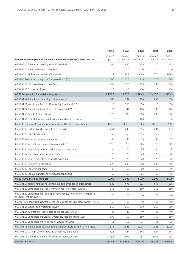|                                                                                                       | 2018                  | F year                | 2020                  | 2021                  | 2022                  |
|-------------------------------------------------------------------------------------------------------|-----------------------|-----------------------|-----------------------|-----------------------|-----------------------|
| Development cooperation framework under section 6.3 of the Finance Act                                | (DKKm)<br>2018-prices | (DKKm)<br>2019-prices | (DKKm)<br>2019-prices | (DKKm)<br>2019-prices | (DKKm)<br>2019-prices |
| 06.37.03.10 The African Development Fund (AfDF)                                                       | 100                   | 430                   | 175                   | 175                   | 175                   |
| 06.37.03.11 The Asian Development Fund                                                                | $\mathbf 0$           | $\mathbf{0}$          | $\mathbf{0}$          | $\mathbf{0}$          | $\mathbf{0}$          |
| 06.37.03.14 Multilateral debt relief initiatives                                                      | 122                   | 126.2                 | 145.9                 | 165.5                 | 189.9                 |
| 06.37.04 Assistance through the European Union (EU)                                                   | 700                   | 713                   | 713                   | 728                   | 728                   |
| 06.37.04.10 European Development Fund                                                                 | 700                   | 723                   | 723                   | 738                   | 738                   |
| 06.37.04.11 EU loans to Turkey                                                                        | $\mathbf 0$           | $-10$                 | $-10$                 | $-10$                 | $-10$                 |
| 06.38 Partnerships for sustainable growth                                                             | 1,233.5               | 1,676.5               | 1,629.5               | 1,428.5               | 1,469.5               |
| 06.38.01 Mobilisation of financing for investments                                                    | 345                   | 792                   | 750                   | 600                   | 650                   |
| 06.38.01.11 Investment Fund for Developing Countries (IFU)                                            | $\mathbf{0}$          | 250                   | 50                    | $\mathbf{0}$          | 50                    |
| 06.38.01.12 The International Finance Corporation (IFC)                                               | 20                    | 42                    | 100                   | 100                   | 100                   |
| 06.38.01.13 Danida Business Finance                                                                   | 325                   | 500                   | 500                   | 500                   | 500                   |
| 06.38.01.14 Project development facility Danida Business Finance                                      | $\mathbf 0$           | $\mathbf 0$           | 100                   | $\mathbf 0$           | $\mathbf{0}$          |
| 06.38.02 Framework conditions, knowledge and business opportunities                                   | 888.5                 | 884.5                 | 879.5                 | 828.5                 | 819.5                 |
| 06.38.02.12 Partnerships for market-driven growth                                                     | 264                   | 245                   | 255                   | 204                   | 195                   |
| 06.38.02.13 Growth advisors                                                                           | 52                    | 55                    | 55                    | 55                    | 55                    |
| 06.38.02.14 Strategic sector cooperation                                                              | 68                    | 90                    | 95                    | 95                    | 95                    |
| 06.38.02.15 International Labour Organization (ILO)                                                   | 29.5                  | 9.5                   | 9.5                   | 9.5                   | 9.5                   |
| 06.38.02.16 Support for activities in trade and development                                           | 50                    | 70                    | 50                    | 50                    | 50                    |
| 06.38.02.17 Energy and water resources, etc.                                                          | 70                    | 70                    | 70                    | 70                    | 70                    |
| 06.38.02.18 Strategic initiatives in growth economies                                                 | 20                    | 20                    | 20                    | 20                    | 20                    |
| 06.38.02.19 Research collaboration                                                                    | 225                   | 200                   | 200                   | 200                   | 200                   |
| 06.38.02.20 Fellowship funding                                                                        | 45                    | 60                    | 60                    | 60                    | 60                    |
| 06.38.02.21 Labour markets and framework conditions                                                   | 65                    | 65                    | 65                    | 65                    | 65                    |
| 06.39 Humanitarian assistance                                                                         | 2,500                 | 2,600                 | 2,600                 | 2,600                 | 2,600                 |
| 06.39.01 General contributions to international humanitarian organizations                            | 625                   | 675                   | 675                   | 675                   | 675                   |
| 06.39.01.10 United Nations High Commissioner for Refugees (UNHCR)                                     | 160                   | 160                   | 160                   | 160                   | 160                   |
| 06.39.01.11 United Nations Relief and Works Agency for Palestine Refugees in<br>the Near East (UNRWA) | 70                    | 70                    | 70                    | 70                    | 70                    |
| 06.39.01.12 United Nations Office for the Coordination of Humanitarian Affairs (OCHA)                 | 30                    | 30                    | 30                    | 30                    | 30                    |
| 06.39.01.13 World Food Programme (WFP)                                                                | 210                   | 210                   | 210                   | 210                   | 210                   |
| 06.39.01.14 International Committee of the Red Cross (ICRC)                                           | 40                    | 40                    | 40                    | 40                    | 40                    |
| 06.39.01.16 United Nations Central Emergency Response Fund (CERF)                                     | 100                   | 150                   | 150                   | 150                   | 150                   |
| 06.39.01.17 United Nations Mine Action Service (UNMAS)                                                | 15                    | 15                    | 15                    | 15                    | 15                    |
| 06.39.03 Humanitarian contributions to partners in acute and protracted crises                        | 1,875                 | 1,925                 | 1,925                 | 1,925                 | 1,925                 |
| 06.39.03.10 Strategic partnerships and emergency aid funding                                          | 759.5                 | 844                   | 844                   | 844                   | 844                   |
| 06.39.03.11 Other contributions to acute and protracted crises                                        | 1,115.5               | 1081                  | 1081                  | 1081                  | 1081                  |
| Section 06.3 Total                                                                                    | 12,844.8              | 13,995.6              | 13,911.6              | 13,983                | 14,015.5              |